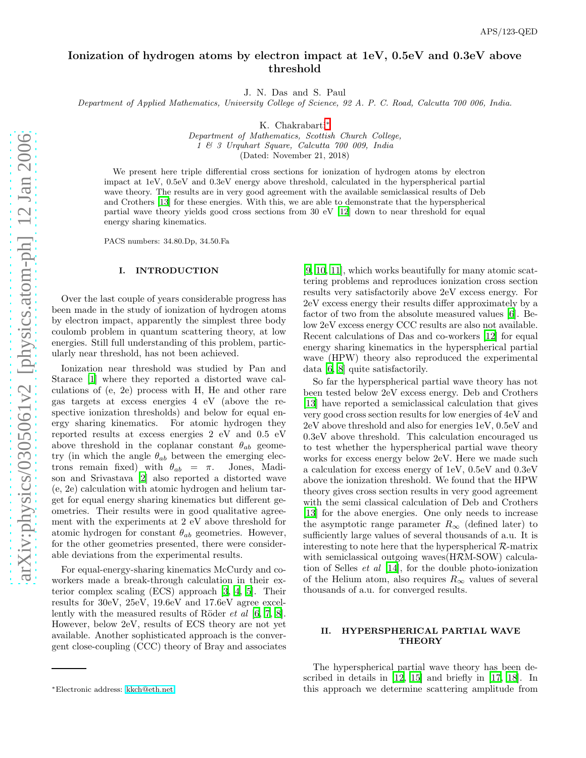# Ionization of hydrogen atoms by electron impact at 1eV, 0.5eV and 0.3eV above threshold

J. N. Das and S. Paul

Department of Applied Mathematics, University College of Science, 92 A. P. C. Road, Calcutta 700 006, India.

K. Chakrabarti[∗](#page-0-0)

Department of Mathematics, Scottish Church College, 1 & 3 Urquhart Square, Calcutta 700 009, India (Dated: November 21, 2018)

We present here triple differential cross sections for ionization of hydrogen atoms by electron impact at 1eV, 0.5eV and 0.3eV energy above threshold, calculated in the hyperspherical partial wave theory. The results are in very good agreement with the available semiclassical results of Deb and Crothers [\[13](#page-3-0)] for these energies. With this, we are able to demonstrate that the hyperspherical partial wave theory yields good cross sections from 30 eV [\[12](#page-3-1)] down to near threshold for equal energy sharing kinematics.

PACS numbers: 34.80.Dp, 34.50.Fa

#### I. INTRODUCTION

Over the last couple of years considerable progress has been made in the study of ionization of hydrogen atoms by electron impact, apparently the simplest three body coulomb problem in quantum scattering theory, at low energies. Still full understanding of this problem, particularly near threshold, has not been achieved.

Ionization near threshold was studied by Pan and Starace [\[1](#page-3-2)] where they reported a distorted wave calculations of (e, 2e) process with H, He and other rare gas targets at excess energies 4 eV (above the respective ionization thresholds) and below for equal energy sharing kinematics. For atomic hydrogen they reported results at excess energies 2 eV and 0.5 eV above threshold in the coplanar constant  $\theta_{ab}$  geometry (in which the angle  $\theta_{ab}$  between the emerging electrons remain fixed) with  $\theta_{ab} = \pi$ . Jones, Madison and Srivastava [\[2\]](#page-3-3) also reported a distorted wave (e, 2e) calculation with atomic hydrogen and helium target for equal energy sharing kinematics but different geometries. Their results were in good qualitative agreement with the experiments at 2 eV above threshold for atomic hydrogen for constant  $\theta_{ab}$  geometries. However, for the other geometries presented, there were considerable deviations from the experimental results.

For equal-energy-sharing kinematics McCurdy and coworkers made a break-through calculation in their exterior complex scaling (ECS) approach [\[3](#page-3-4), [4,](#page-3-5) [5\]](#page-3-6). Their results for 30eV, 25eV, 19.6eV and 17.6eV agree excellently with the measured results of Röder *et al* [\[6,](#page-3-7) [7](#page-3-8), [8\]](#page-3-9). However, below 2eV, results of ECS theory are not yet available. Another sophisticated approach is the convergent close-coupling (CCC) theory of Bray and associates

[\[9,](#page-3-10) [10](#page-3-11), [11\]](#page-3-12), which works beautifully for many atomic scattering problems and reproduces ionization cross section results very satisfactorily above 2eV excess energy. For 2eV excess energy their results differ approximately by a factor of two from the absolute measured values [\[6](#page-3-7)]. Below 2eV excess energy CCC results are also not available. Recent calculations of Das and co-workers [\[12\]](#page-3-1) for equal energy sharing kinematics in the hyperspherical partial wave (HPW) theory also reproduced the experimental data [\[6,](#page-3-7) [8\]](#page-3-9) quite satisfactorily.

So far the hyperspherical partial wave theory has not been tested below 2eV excess energy. Deb and Crothers [\[13\]](#page-3-0) have reported a semiclassical calculation that gives very good cross section results for low energies of 4eV and 2eV above threshold and also for energies 1eV, 0.5eV and 0.3eV above threshold. This calculation encouraged us to test whether the hyperspherical partial wave theory works for excess energy below 2eV. Here we made such a calculation for excess energy of 1eV, 0.5eV and 0.3eV above the ionization threshold. We found that the HPW theory gives cross section results in very good agreement with the semi classical calculation of Deb and Crothers [\[13\]](#page-3-0) for the above energies. One only needs to increase the asymptotic range parameter  $R_{\infty}$  (defined later) to sufficiently large values of several thousands of a.u. It is interesting to note here that the hyperspherical  $\mathcal{R}$ -matrix with semiclassical outgoing waves(HRM-SOW) calculation of Selles et al [\[14](#page-3-13)], for the double photo-ionization of the Helium atom, also requires  $R_{\infty}$  values of several thousands of a.u. for converged results.

# II. HYPERSPHERICAL PARTIAL WAVE **THEORY**

The hyperspherical partial wave theory has been described in details in [\[12](#page-3-1), [15](#page-3-14)] and briefly in [\[17](#page-3-15), [18](#page-3-16)]. In this approach we determine scattering amplitude from

<span id="page-0-0"></span><sup>∗</sup>Electronic address: [kkch@eth.net](mailto:kkch@eth.net)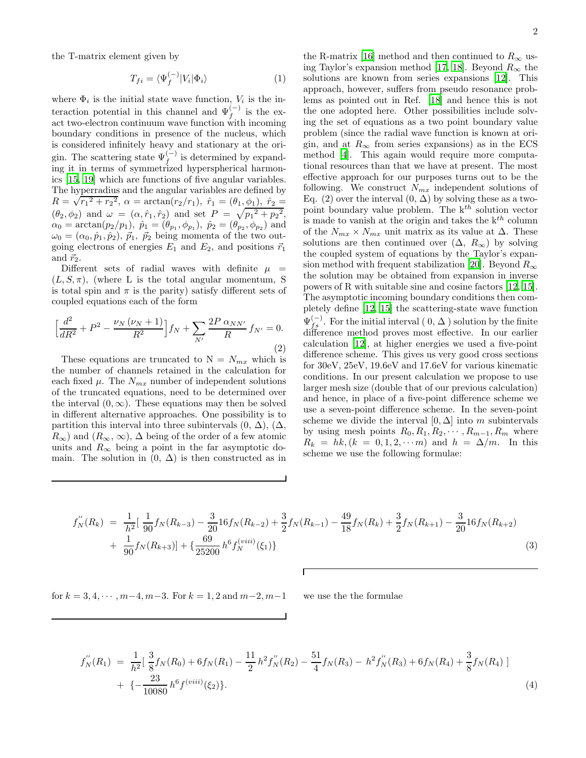the T-matrix element given by

$$
T_{fi} = \langle \Psi_f^{(-)} | V_i | \Phi_i \rangle \tag{1}
$$

where  $\Phi_i$  is the initial state wave function,  $V_i$  is the interaction potential in this channel and  $\Psi_f^{(-)}$  is the exact two-electron continuum wave function with incoming boundary conditions in presence of the nucleus, which is considered infinitely heavy and stationary at the origin. The scattering state  $\Psi_f^{(-)}$  is determined by expanding it in terms of symmetrized hyperspherical harmonics [\[15](#page-3-14), [19\]](#page-3-17) which are functions of five angular variables. The hyperradius and the angular variables are defined by  $R = \sqrt{r_1^2 + r_2^2}$ ,  $\alpha = \arctan(r_2/r_1)$ ,  $\hat{r}_1 = (\theta_1, \phi_1)$ ,  $\hat{r}_2 =$  $(\theta_2, \phi_2)$  and  $\omega = (\alpha, \hat{r}_1, \hat{r}_2)$  and set  $P = \sqrt{p_1^2 + p_2^2}$ ,  $\alpha_0 = \arctan(p_2/p_1), \hat{p}_1 = (\theta_{p_1}, \phi_{p_1}), \hat{p}_2 = (\theta_{p_2}, \phi_{p_2})$  and  $\omega_0 = (\alpha_0, \hat{p}_1, \hat{p}_2), \, \vec{p}_1, \, \vec{p}_2$  being momenta of the two outgoing electrons of energies  $E_1$  and  $E_2$ , and positions  $\vec{r}_1$ and  $\vec{r}_2$ .

Different sets of radial waves with definite  $\mu$  =  $(L, S, \pi)$ , (where L is the total angular momentum, S is total spin and  $\pi$  is the parity) satisfy different sets of coupled equations each of the form

$$
\left[\frac{d^2}{dR^2} + P^2 - \frac{\nu_N(\nu_N + 1)}{R^2}\right] f_N + \sum_{N'} \frac{2P \alpha_{NN'}}{R} f_{N'} = 0.
$$
\n(2)

These equations are truncated to  $N = N_{mx}$  which is the number of channels retained in the calculation for each fixed  $\mu$ . The  $N_{mx}$  number of independent solutions of the truncated equations, need to be determined over the interval  $(0, \infty)$ . These equations may then be solved in different alternative approaches. One possibility is to partition this interval into three subintervals  $(0, \Delta)$ ,  $(\Delta, \Delta)$  $R_{\infty}$ ) and  $(R_{\infty}, \infty)$ ,  $\Delta$  being of the order of a few atomic units and  $R_{\infty}$  being a point in the far asymptotic domain. The solution in  $(0, \Delta)$  is then constructed as in

the R-matrix [\[16\]](#page-3-18) method and then continued to  $R_{\infty}$  us-ing Taylor's expansion method [\[17,](#page-3-15) [18\]](#page-3-16). Beyond  $R_{\infty}$  the solutions are known from series expansions [\[12\]](#page-3-1). This approach, however, suffers from pseudo resonance problems as pointed out in Ref. [\[18](#page-3-16)] and hence this is not the one adopted here. Other possibilities include solving the set of equations as a two point boundary value problem (since the radial wave function is known at origin, and at  $R_{\infty}$  from series expansions) as in the ECS method [\[4\]](#page-3-5). This again would require more computational resources than that we have at present. The most effective approach for our purposes turns out to be the following. We construct  $N_{mx}$  independent solutions of Eq. (2) over the interval  $(0, \Delta)$  by solving these as a twopoint boundary value problem. The  $k^{th}$  solution vector is made to vanish at the origin and takes the  $k^{th}$  column of the  $N_{mx} \times N_{mx}$  unit matrix as its value at  $\Delta$ . These solutions are then continued over  $(\Delta, R_{\infty})$  by solving the coupled system of equations by the Taylor's expan-sion method with frequent stabilization [\[20](#page-3-19)]. Beyond  $R_{\infty}$ the solution may be obtained from expansion in inverse powers of R with suitable sine and cosine factors [\[12,](#page-3-1) [15\]](#page-3-14). The asymptotic incoming boundary conditions then completely define [\[12](#page-3-1), [15\]](#page-3-14) the scattering-state wave function  $\Psi_{fs}^{(-)}$ . For the initial interval  $(0, \Delta)$  solution by the finite difference method proves most effective. In our earlier calculation [\[12\]](#page-3-1), at higher energies we used a five-point difference scheme. This gives us very good cross sections for 30eV, 25eV, 19.6eV and 17.6eV for various kinematic conditions. In our present calculation we propose to use larger mesh size (double that of our previous calculation) and hence, in place of a five-point difference scheme we use a seven-point difference scheme. In the seven-point scheme we divide the interval  $[0, \Delta]$  into m subintervals by using mesh points  $R_0, R_1, R_2, \cdots, R_{m-1}, R_m$  where  $R_k = hk, (k = 0, 1, 2, \cdots m)$  and  $h = \Delta/m$ . In this scheme we use the following formulae:

$$
f_N''(R_k) = \frac{1}{h^2} \left[ \frac{1}{90} f_N(R_{k-3}) - \frac{3}{20} 16 f_N(R_{k-2}) + \frac{3}{2} f_N(R_{k-1}) - \frac{49}{18} f_N(R_k) + \frac{3}{2} f_N(R_{k+1}) - \frac{3}{20} 16 f_N(R_{k+2}) \right] + \frac{1}{90} f_N(R_{k+3}) \left[ + \left( \frac{69}{25200} h^6 f_N^{(viii)}(\xi_1) \right) \right]
$$
(3)

for  $k = 3, 4, \dots, m-4, m-3$ . For  $k = 1, 2$  and  $m-2, m-1$  we use the the formulae

$$
f_N''(R_1) = \frac{1}{h^2} \left[ \frac{3}{8} f_N(R_0) + 6 f_N(R_1) - \frac{11}{2} h^2 f_N''(R_2) - \frac{51}{4} f_N(R_3) - h^2 f_N''(R_3) + 6 f_N(R_4) + \frac{3}{8} f_N(R_4) \right]
$$
  
+ 
$$
\left\{ -\frac{23}{10080} h^6 f^{(viii)}(\xi_2) \right\}.
$$
 (4)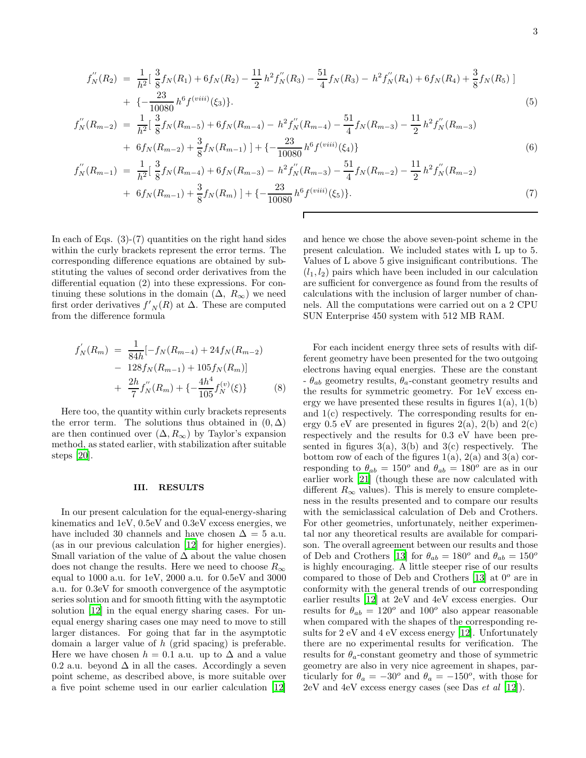$$
f''_N(R_2) = \frac{1}{h^2} \left[ \frac{3}{8} f_N(R_1) + 6 f_N(R_2) - \frac{11}{2} h^2 f''_N(R_3) - \frac{51}{4} f_N(R_3) - h^2 f''_N(R_4) + 6 f_N(R_4) + \frac{3}{8} f_N(R_5) \right] + \left\{ -\frac{23}{10080} h^6 f^{(viii)}(\xi_3) \right\}.
$$
\n(5)

$$
f''_N(R_{m-2}) = \frac{1}{h^2} \left[ \frac{3}{8} f_N(R_{m-5}) + 6 f_N(R_{m-4}) - h^2 f'_N(R_{m-4}) - \frac{51}{4} f_N(R_{m-3}) - \frac{11}{2} h^2 f'_N(R_{m-3}) + 6 f_N(R_{m-2}) + \frac{3}{8} f_N(R_{m-1}) \right] + \left\{ -\frac{23}{10080} h^6 f^{(viii)}(\xi_4) \right\} \tag{6}
$$

$$
f_N''(R_{m-1}) = \frac{1}{h^2} \left[ \frac{3}{8} f_N(R_{m-4}) + 6 f_N(R_{m-3}) - h^2 f_N'(R_{m-3}) - \frac{51}{4} f_N(R_{m-2}) - \frac{11}{2} h^2 f_N''(R_{m-2}) \right] + 6 f_N(R_{m-1}) + \frac{3}{8} f_N(R_m) \left[ + \left( -\frac{23}{10080} h^6 f^{(viii)}(\xi_5) \right) \right].
$$
 (7)

In each of Eqs.  $(3)-(7)$  quantities on the right hand sides within the curly brackets represent the error terms. The corresponding difference equations are obtained by substituting the values of second order derivatives from the differential equation (2) into these expressions. For continuing these solutions in the domain  $(\Delta, R_{\infty})$  we need first order derivatives  $f'_{N}(R)$  at  $\Delta$ . These are computed from the difference formula

$$
f'_{N}(R_{m}) = \frac{1}{84h}[-f_{N}(R_{m-4}) + 24f_{N}(R_{m-2}) - 128f_{N}(R_{m-1}) + 105f_{N}(R_{m})] + \frac{2h}{7}f'_{N}(R_{m}) + \{-\frac{4h^{4}}{105}f_{N}^{(v)}(\xi)\}
$$
(8)

Here too, the quantity within curly brackets represents the error term. The solutions thus obtained in  $(0, \Delta)$ are then continued over  $(\Delta, R_{\infty})$  by Taylor's expansion method, as stated earlier, with stabilization after suitable steps [\[20\]](#page-3-19).

# III. RESULTS

In our present calculation for the equal-energy-sharing kinematics and 1eV, 0.5eV and 0.3eV excess energies, we have included 30 channels and have chosen  $\Delta = 5$  a.u. (as in our previous calculation [\[12\]](#page-3-1) for higher energies). Small variation of the value of  $\Delta$  about the value chosen does not change the results. Here we need to choose  $R_{\infty}$ equal to 1000 a.u. for 1eV, 2000 a.u. for 0.5eV and 3000 a.u. for 0.3eV for smooth convergence of the asymptotic series solution and for smooth fitting with the asymptotic solution [\[12\]](#page-3-1) in the equal energy sharing cases. For unequal energy sharing cases one may need to move to still larger distances. For going that far in the asymptotic domain a larger value of h (grid spacing) is preferable. Here we have chosen  $h = 0.1$  a.u. up to  $\Delta$  and a value 0.2 a.u. beyond  $\Delta$  in all the cases. Accordingly a seven point scheme, as described above, is more suitable over a five point scheme used in our earlier calculation [\[12](#page-3-1)]

and hence we chose the above seven-point scheme in the present calculation. We included states with L up to 5. Values of L above 5 give insignificant contributions. The  $(l_1, l_2)$  pairs which have been included in our calculation are sufficient for convergence as found from the results of calculations with the inclusion of larger number of channels. All the computations were carried out on a 2 CPU SUN Enterprise 450 system with 512 MB RAM.

For each incident energy three sets of results with different geometry have been presented for the two outgoing electrons having equal energies. These are the constant  $-\theta_{ab}$  geometry results,  $\theta_a$ -constant geometry results and the results for symmetric geometry. For 1eV excess energy we have presented these results in figures  $1(a)$ ,  $1(b)$ and  $1(c)$  respectively. The corresponding results for energy 0.5 eV are presented in figures  $2(a)$ ,  $2(b)$  and  $2(c)$ respectively and the results for 0.3 eV have been presented in figures  $3(a)$ ,  $3(b)$  and  $3(c)$  respectively. The bottom row of each of the figures  $1(a)$ ,  $2(a)$  and  $3(a)$  corresponding to  $\theta_{ab} = 150^{\circ}$  and  $\theta_{ab} = 180^{\circ}$  are as in our earlier work [\[21\]](#page-3-20) (though these are now calculated with different  $R_{\infty}$  values). This is merely to ensure completeness in the results presented and to compare our results with the semiclassical calculation of Deb and Crothers. For other geometries, unfortunately, neither experimental nor any theoretical results are available for comparison. The overall agreement between our results and those of Deb and Crothers [\[13\]](#page-3-0) for  $\theta_{ab} = 180^{\circ}$  and  $\theta_{ab} = 150^{\circ}$ is highly encouraging. A little steeper rise of our results compared to those of Deb and Crothers [\[13](#page-3-0)] at  $0^{\circ}$  are in conformity with the general trends of our corresponding earlier results [\[12\]](#page-3-1) at 2eV and 4eV excess energies. Our results for  $\theta_{ab} = 120^{\circ}$  and  $100^{\circ}$  also appear reasonable when compared with the shapes of the corresponding results for 2 eV and 4 eV excess energy [\[12](#page-3-1)]. Unfortunately there are no experimental results for verification. The results for  $\theta_a$ -constant geometry and those of symmetric geometry are also in very nice agreement in shapes, particularly for  $\theta_a = -30^\circ$  and  $\theta_a = -150^\circ$ , with those for  $2eV$  and  $4eV$  excess energy cases (see Das *et al* [\[12\]](#page-3-1)).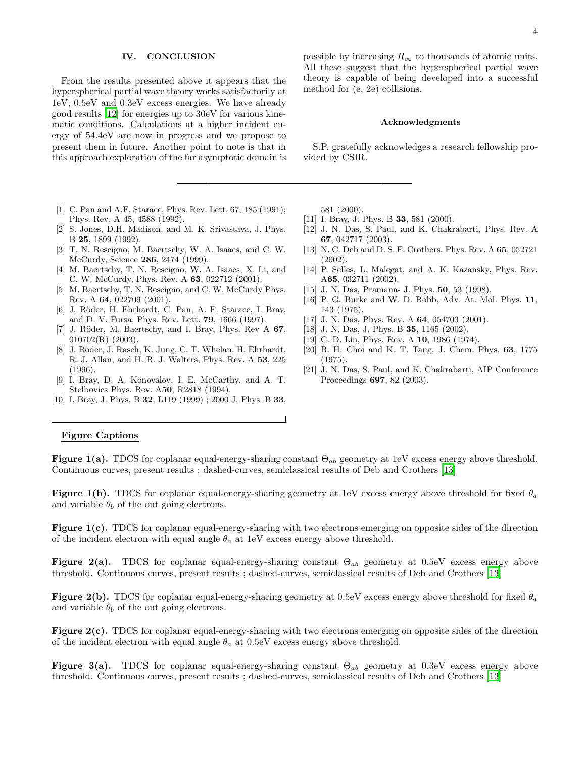### IV. CONCLUSION

From the results presented above it appears that the hyperspherical partial wave theory works satisfactorily at 1eV, 0.5eV and 0.3eV excess energies. We have already good results [\[12\]](#page-3-1) for energies up to 30eV for various kinematic conditions. Calculations at a higher incident energy of 54.4eV are now in progress and we propose to present them in future. Another point to note is that in this approach exploration of the far asymptotic domain is

- <span id="page-3-2"></span>[1] C. Pan and A.F. Starace, Phys. Rev. Lett. 67, 185 (1991); Phys. Rev. A 45, 4588 (1992).
- <span id="page-3-3"></span>[2] S. Jones, D.H. Madison, and M. K. Srivastava, J. Phys. B 25, 1899 (1992).
- <span id="page-3-4"></span>[3] T. N. Rescigno, M. Baertschy, W. A. Isaacs, and C. W. McCurdy, Science 286, 2474 (1999).
- <span id="page-3-5"></span>[4] M. Baertschy, T. N. Rescigno, W. A. Isaacs, X. Li, and C. W. McCurdy, Phys. Rev. A 63, 022712 (2001).
- <span id="page-3-6"></span>[5] M. Baertschy, T. N. Rescigno, and C. W. McCurdy Phys. Rev. A 64, 022709 (2001).
- <span id="page-3-7"></span>[6] J. Röder, H. Ehrhardt, C. Pan, A. F. Starace, I. Bray, and D. V. Fursa, Phys. Rev. Lett. 79, 1666 (1997).
- <span id="page-3-8"></span>[7] J. Röder, M. Baertschy, and I. Bray, Phys. Rev A 67,  $010702(R)$  (2003).
- <span id="page-3-9"></span>[8] J. Röder, J. Rasch, K. Jung, C. T. Whelan, H. Ehrhardt, R. J. Allan, and H. R. J. Walters, Phys. Rev. A 53, 225 (1996).
- [9] I. Bray, D. A. Konovalov, I. E. McCarthy, and A. T. Stelbovics Phys. Rev. A50, R2818 (1994).
- <span id="page-3-11"></span><span id="page-3-10"></span>[10] I. Bray, J. Phys. B 32, L119 (1999) ; 2000 J. Phys. B 33,

possible by increasing  $R_{\infty}$  to thousands of atomic units. All these suggest that the hyperspherical partial wave theory is capable of being developed into a successful method for (e, 2e) collisions.

#### Acknowledgments

S.P. gratefully acknowledges a research fellowship provided by CSIR.

581 (2000).

- <span id="page-3-12"></span>[11] I. Bray, J. Phys. B **33**, 581 (2000).
- <span id="page-3-1"></span>[12] J. N. Das, S. Paul, and K. Chakrabarti, Phys. Rev. A 67, 042717 (2003).
- <span id="page-3-0"></span>[13] N. C. Deb and D. S. F. Crothers, Phys. Rev. A 65, 052721 (2002).
- <span id="page-3-13"></span>[14] P. Selles, L. Malegat, and A. K. Kazansky, Phys. Rev. A65, 032711 (2002).
- <span id="page-3-14"></span>[15] J. N. Das, Pramana- J. Phys. **50**, 53 (1998).
- <span id="page-3-18"></span>[16] P. G. Burke and W. D. Robb, Adv. At. Mol. Phys. 11, 143 (1975).
- <span id="page-3-15"></span>[17] J. N. Das, Phys. Rev. A **64**, 054703 (2001).
- <span id="page-3-16"></span>[18] J. N. Das, J. Phys. B **35**, 1165 (2002).
- [19] C. D. Lin, Phys. Rev. A **10**, 1986 (1974).
- <span id="page-3-19"></span><span id="page-3-17"></span>[20] B. H. Choi and K. T. Tang, J. Chem. Phys. 63, 1775 (1975).
- <span id="page-3-20"></span>[21] J. N. Das, S. Paul, and K. Chakrabarti, AIP Conference Proceedings 697, 82 (2003).

## Figure Captions

Figure 1(a). TDCS for coplanar equal-energy-sharing constant  $\Theta_{ab}$  geometry at 1eV excess energy above threshold. Continuous curves, present results ; dashed-curves, semiclassical results of Deb and Crothers [\[13\]](#page-3-0)

Figure 1(b). TDCS for coplanar equal-energy-sharing geometry at 1eV excess energy above threshold for fixed  $\theta_a$ and variable  $\theta_b$  of the out going electrons.

Figure 1(c). TDCS for coplanar equal-energy-sharing with two electrons emerging on opposite sides of the direction of the incident electron with equal angle  $\theta_a$  at 1eV excess energy above threshold.

Figure 2(a). TDCS for coplanar equal-energy-sharing constant  $\Theta_{ab}$  geometry at 0.5eV excess energy above threshold. Continuous curves, present results ; dashed-curves, semiclassical results of Deb and Crothers [\[13\]](#page-3-0)

Figure 2(b). TDCS for coplanar equal-energy-sharing geometry at 0.5eV excess energy above threshold for fixed  $\theta_a$ and variable  $\theta_b$  of the out going electrons.

Figure 2(c). TDCS for coplanar equal-energy-sharing with two electrons emerging on opposite sides of the direction of the incident electron with equal angle  $\theta_a$  at 0.5eV excess energy above threshold.

**Figure 3(a).** TDCS for coplanar equal-energy-sharing constant  $\Theta_{ab}$  geometry at 0.3eV excess energy above threshold. Continuous curves, present results ; dashed-curves, semiclassical results of Deb and Crothers [\[13\]](#page-3-0)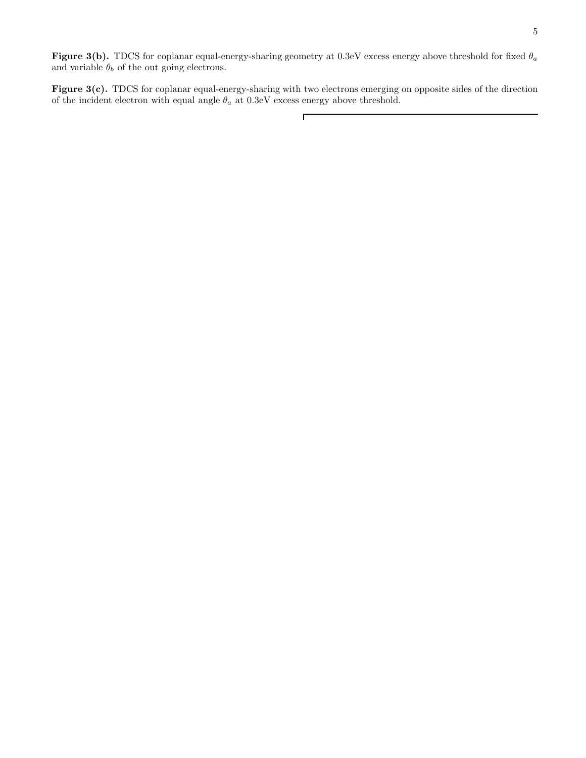Figure 3(b). TDCS for coplanar equal-energy-sharing geometry at 0.3eV excess energy above threshold for fixed  $\theta_a$ and variable  $\theta_b$  of the out going electrons.

Figure 3(c). TDCS for coplanar equal-energy-sharing with two electrons emerging on opposite sides of the direction of the incident electron with equal angle  $\theta_a$  at 0.3eV excess energy above threshold.

 $\Gamma$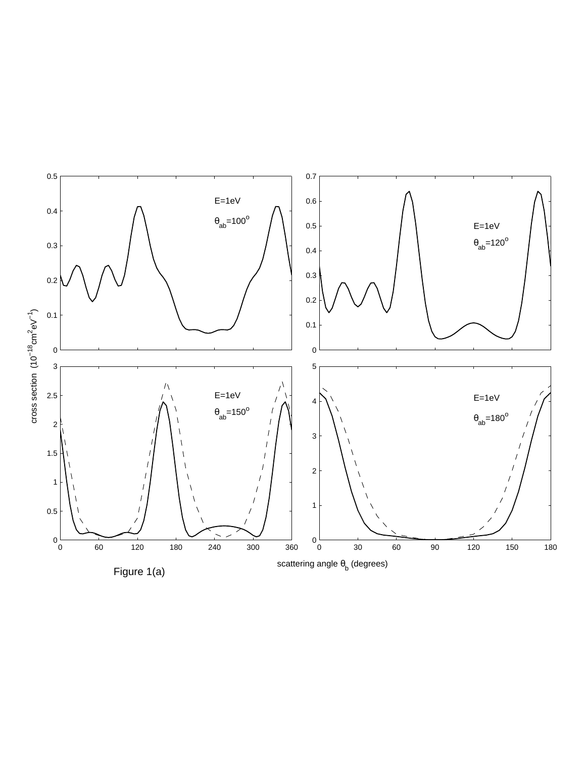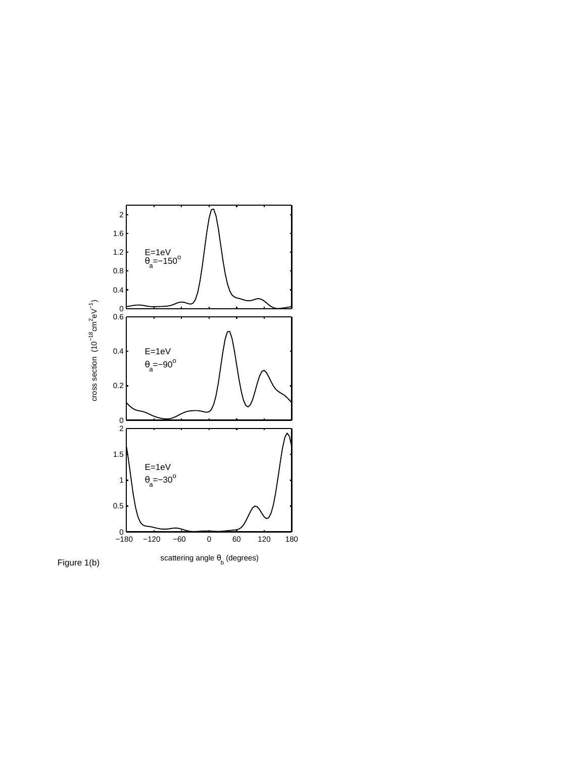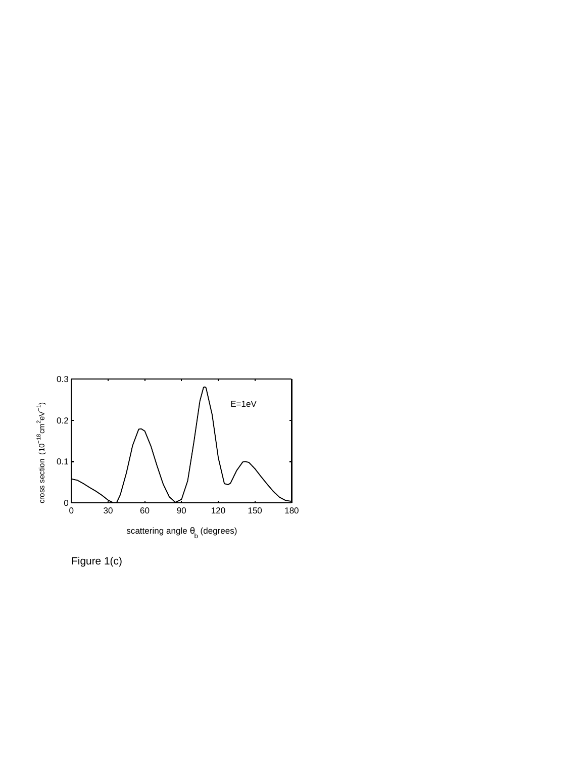

Figure 1(c)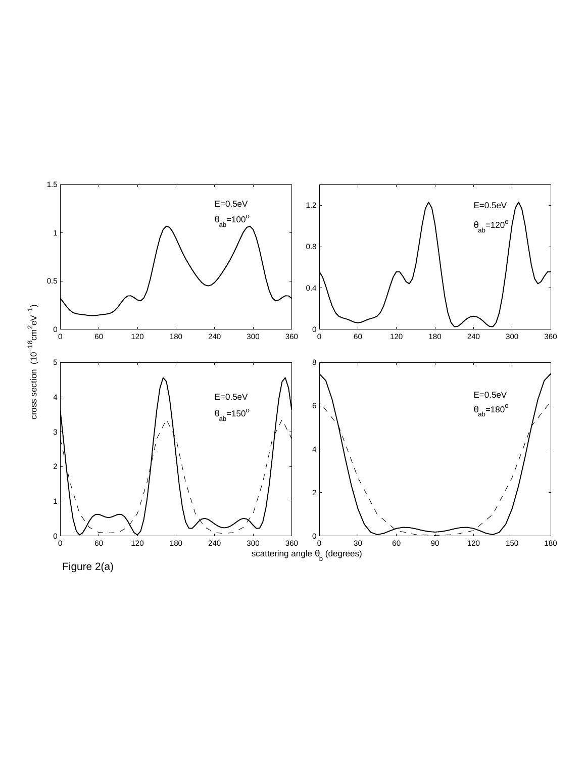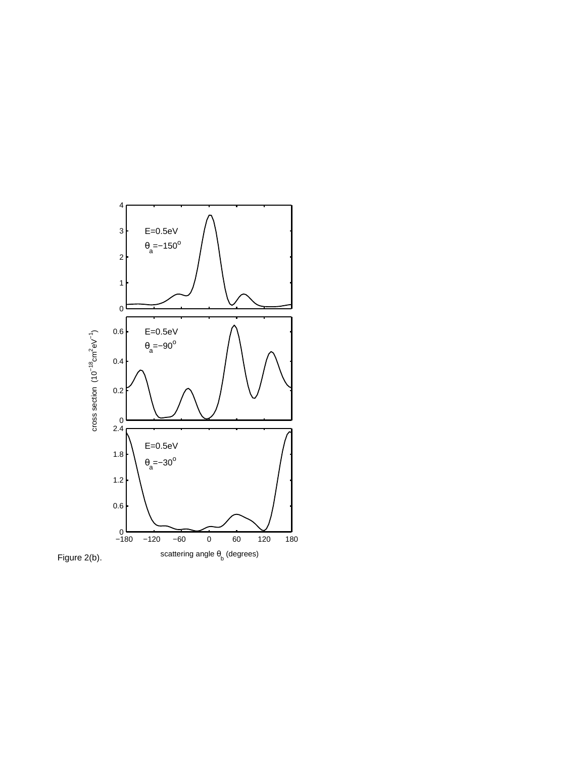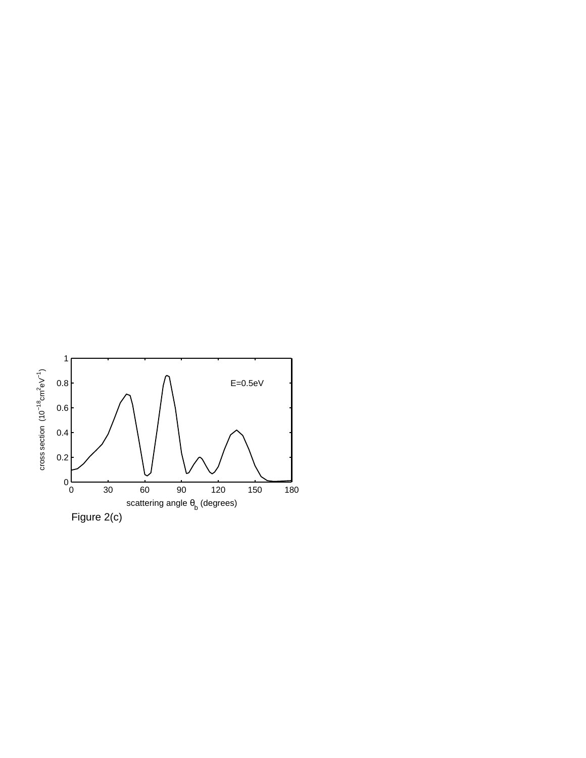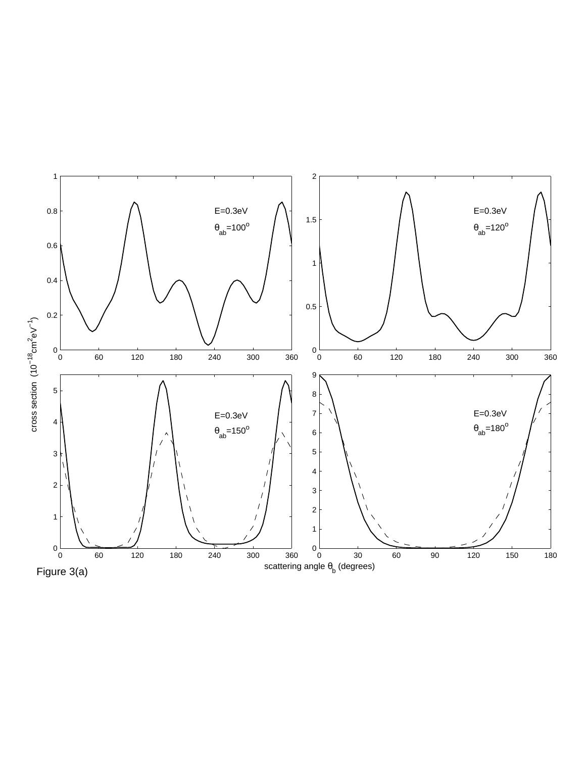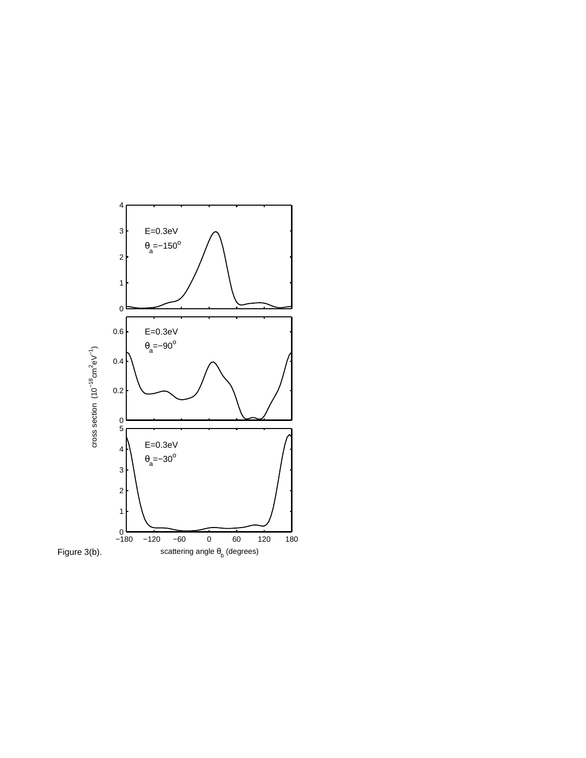